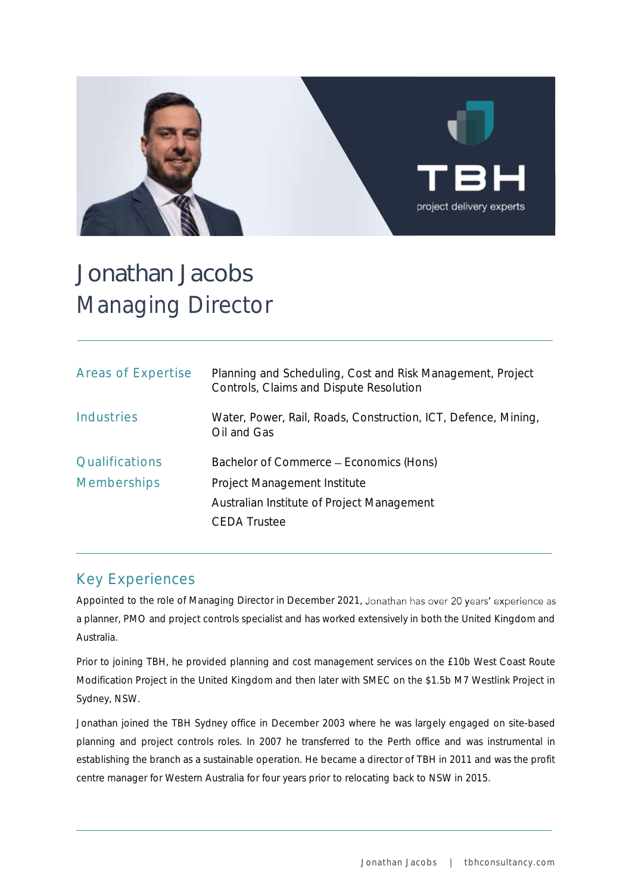

## Jonathan Jacobs Managing Director

| Areas of Expertise | Planning and Scheduling, Cost and Risk Management, Project<br>Controls, Claims and Dispute Resolution |
|--------------------|-------------------------------------------------------------------------------------------------------|
| Industries         | Water, Power, Rail, Roads, Construction, ICT, Defence, Mining,<br>Oil and Gas                         |
| Qualifications     | Bachelor of Commerce – Economics (Hons)                                                               |
| <b>Memberships</b> | Project Management Institute                                                                          |
|                    | Australian Institute of Project Management                                                            |
|                    | CEDA Trustee                                                                                          |

## Key Experiences

Appointed to the role of Managing Director in December 2021, Jonathan has over 20 years' experience as a planner, PMO and project controls specialist and has worked extensively in both the United Kingdom and Australia.

Prior to joining TBH, he provided planning and cost management services on the £10b West Coast Route Modification Project in the United Kingdom and then later with SMEC on the \$1.5b M7 Westlink Project in Sydney, NSW.

Jonathan joined the TBH Sydney office in December 2003 where he was largely engaged on site-based planning and project controls roles. In 2007 he transferred to the Perth office and was instrumental in establishing the branch as a sustainable operation. He became a director of TBH in 2011 and was the profit centre manager for Western Australia for four years prior to relocating back to NSW in 2015.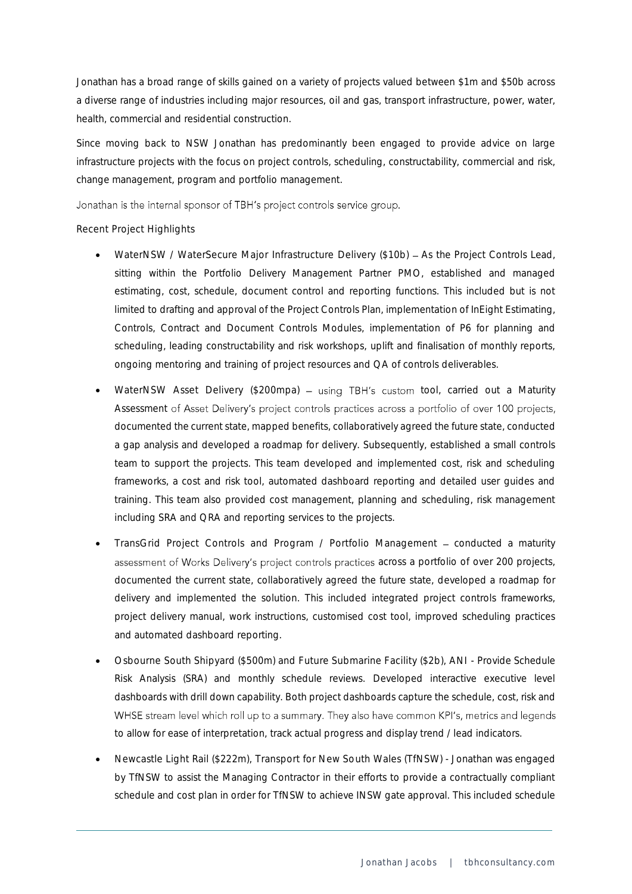Jonathan has a broad range of skills gained on a variety of projects valued between \$1m and \$50b across a diverse range of industries including major resources, oil and gas, transport infrastructure, power, water, health, commercial and residential construction.

Since moving back to NSW Jonathan has predominantly been engaged to provide advice on large infrastructure projects with the focus on project controls, scheduling, constructability, commercial and risk, change management, program and portfolio management.

Jonathan is the internal sponsor of TBH's project controls service group.

## Recent Project Highlights

- WaterNSW / WaterSecure Major Infrastructure Delivery (\$10b) As the Project Controls Lead, sitting within the Portfolio Delivery Management Partner PMO, established and managed estimating, cost, schedule, document control and reporting functions. This included but is not limited to drafting and approval of the Project Controls Plan, implementation of InEight Estimating, Controls, Contract and Document Controls Modules, implementation of P6 for planning and scheduling, leading constructability and risk workshops, uplift and finalisation of monthly reports, ongoing mentoring and training of project resources and QA of controls deliverables.
- WaterNSW Asset Delivery (\$200mpa) using TBH's custom tool, carried out a Maturity Assessment of Asset Delivery's project controls practices across a portfolio of over 100 projects, documented the current state, mapped benefits, collaboratively agreed the future state, conducted a gap analysis and developed a roadmap for delivery. Subsequently, established a small controls team to support the projects. This team developed and implemented cost, risk and scheduling frameworks, a cost and risk tool, automated dashboard reporting and detailed user guides and training. This team also provided cost management, planning and scheduling, risk management including SRA and QRA and reporting services to the projects.
- TransGrid Project Controls and Program / Portfolio Management conducted a maturity assessment of Works Delivery's project controls practices across a portfolio of over 200 projects, documented the current state, collaboratively agreed the future state, developed a roadmap for delivery and implemented the solution. This included integrated project controls frameworks, project delivery manual, work instructions, customised cost tool, improved scheduling practices and automated dashboard reporting.
- Osbourne South Shipyard (\$500m) and Future Submarine Facility (\$2b), ANI Provide Schedule Risk Analysis (SRA) and monthly schedule reviews. Developed interactive executive level dashboards with drill down capability. Both project dashboards capture the schedule, cost, risk and WHSE stream level which roll up to a summary. They also have common KPI's, metrics and legends to allow for ease of interpretation, track actual progress and display trend / lead indicators.
- Newcastle Light Rail (\$222m), Transport for New South Wales (TfNSW) Jonathan was engaged by TfNSW to assist the Managing Contractor in their efforts to provide a contractually compliant schedule and cost plan in order for TfNSW to achieve INSW gate approval. This included schedule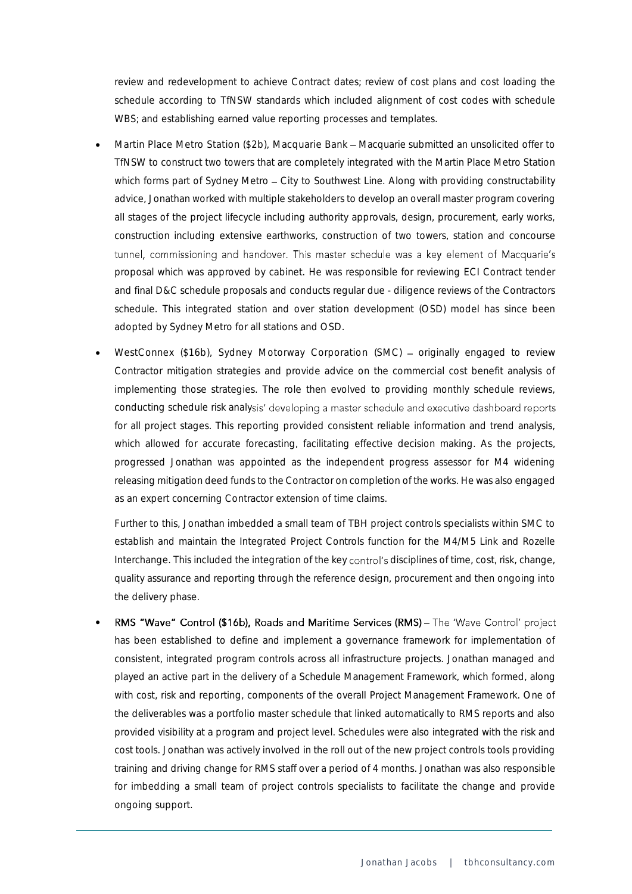review and redevelopment to achieve Contract dates; review of cost plans and cost loading the schedule according to TfNSW standards which included alignment of cost codes with schedule WBS; and establishing earned value reporting processes and templates.

- Martin Place Metro Station (\$2b), Macquarie Bank Macquarie submitted an unsolicited offer to TfNSW to construct two towers that are completely integrated with the Martin Place Metro Station which forms part of Sydney Metro – City to Southwest Line. Along with providing constructability advice, Jonathan worked with multiple stakeholders to develop an overall master program covering all stages of the project lifecycle including authority approvals, design, procurement, early works, construction including extensive earthworks, construction of two towers, station and concourse tunnel, commissioning and handover. This master schedule was a key element of Macquarie's proposal which was approved by cabinet. He was responsible for reviewing ECI Contract tender and final D&C schedule proposals and conducts regular due - diligence reviews of the Contractors schedule. This integrated station and over station development (OSD) model has since been adopted by Sydney Metro for all stations and OSD.
- WestConnex (\$16b), Sydney Motorway Corporation (SMC) originally engaged to review Contractor mitigation strategies and provide advice on the commercial cost benefit analysis of implementing those strategies. The role then evolved to providing monthly schedule reviews, conducting schedule risk analysis' developing a master schedule and executive dashboard reports for all project stages. This reporting provided consistent reliable information and trend analysis, which allowed for accurate forecasting, facilitating effective decision making. As the projects, progressed Jonathan was appointed as the independent progress assessor for M4 widening releasing mitigation deed funds to the Contractor on completion of the works. He was also engaged as an expert concerning Contractor extension of time claims.

Further to this, Jonathan imbedded a small team of TBH project controls specialists within SMC to establish and maintain the Integrated Project Controls function for the M4/M5 Link and Rozelle Interchange. This included the integration of the key control's disciplines of time, cost, risk, change, quality assurance and reporting through the reference design, procurement and then ongoing into the delivery phase.

• RMS "Wave" Control (\$16b), Roads and Maritime Services (RMS) – The 'Wave Control' project has been established to define and implement a governance framework for implementation of consistent, integrated program controls across all infrastructure projects. Jonathan managed and played an active part in the delivery of a Schedule Management Framework, which formed, along with cost, risk and reporting, components of the overall Project Management Framework. One of the deliverables was a portfolio master schedule that linked automatically to RMS reports and also provided visibility at a program and project level. Schedules were also integrated with the risk and cost tools. Jonathan was actively involved in the roll out of the new project controls tools providing training and driving change for RMS staff over a period of 4 months. Jonathan was also responsible for imbedding a small team of project controls specialists to facilitate the change and provide ongoing support.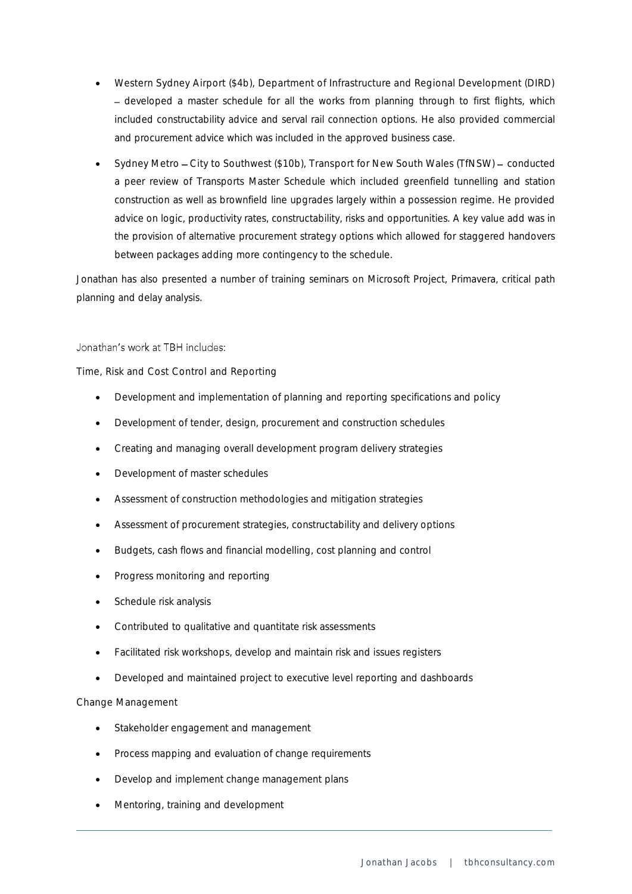- Western Sydney Airport (\$4b), Department of Infrastructure and Regional Development (DIRD) - developed a master schedule for all the works from planning through to first flights, which included constructability advice and serval rail connection options. He also provided commercial and procurement advice which was included in the approved business case.
- Sydney Metro City to Southwest (\$10b), Transport for New South Wales (TfNSW) conducted a peer review of Transports Master Schedule which included greenfield tunnelling and station construction as well as brownfield line upgrades largely within a possession regime. He provided advice on logic, productivity rates, constructability, risks and opportunities. A key value add was in the provision of alternative procurement strategy options which allowed for staggered handovers between packages adding more contingency to the schedule.

Jonathan has also presented a number of training seminars on Microsoft Project, Primavera, critical path planning and delay analysis.

Jonathan's work at TBH includes:

Time, Risk and Cost Control and Reporting

- Development and implementation of planning and reporting specifications and policy
- Development of tender, design, procurement and construction schedules
- Creating and managing overall development program delivery strategies
- Development of master schedules
- Assessment of construction methodologies and mitigation strategies
- Assessment of procurement strategies, constructability and delivery options
- Budgets, cash flows and financial modelling, cost planning and control
- Progress monitoring and reporting
- Schedule risk analysis
- Contributed to qualitative and quantitate risk assessments
- Facilitated risk workshops, develop and maintain risk and issues registers
- Developed and maintained project to executive level reporting and dashboards

## Change Management

- Stakeholder engagement and management
- Process mapping and evaluation of change requirements
- Develop and implement change management plans
- Mentoring, training and development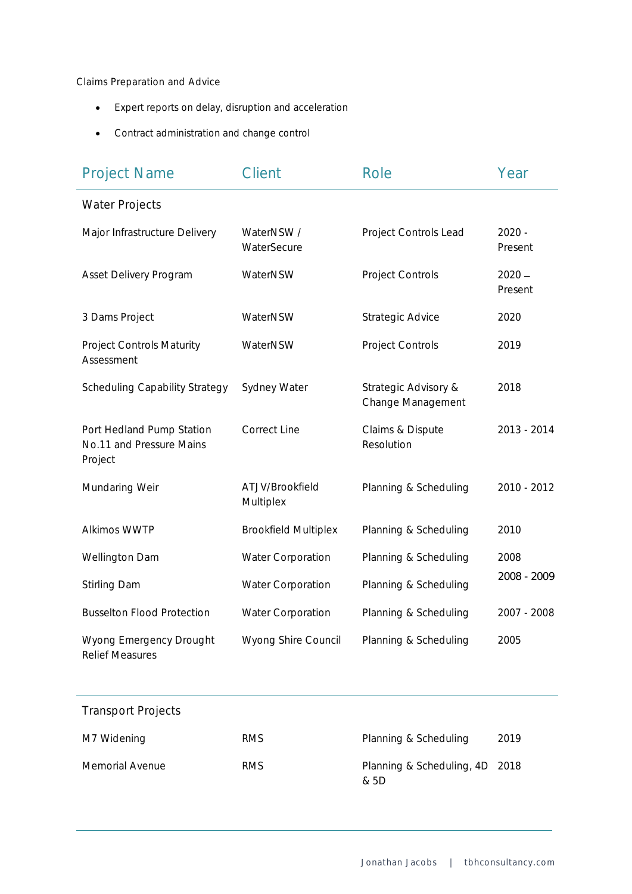Claims Preparation and Advice

- Expert reports on delay, disruption and acceleration
- Contract administration and change control

| <b>Project Name</b>                                              | Client                       | Role                                      | Year                |
|------------------------------------------------------------------|------------------------------|-------------------------------------------|---------------------|
| Water Projects                                                   |                              |                                           |                     |
| Major Infrastructure Delivery                                    | WaterNSW /<br>WaterSecure    | Project Controls Lead                     | $2020 -$<br>Present |
| Asset Delivery Program                                           | WaterNSW                     | Project Controls                          | $2020 -$<br>Present |
| 3 Dams Project                                                   | WaterNSW                     | Strategic Advice                          | 2020                |
| Project Controls Maturity<br>Assessment                          | WaterNSW                     | Project Controls                          | 2019                |
| Scheduling Capability Strategy                                   | Sydney Water                 | Strategic Advisory &<br>Change Management | 2018                |
| Port Hedland Pump Station<br>No.11 and Pressure Mains<br>Project | Correct Line                 | Claims & Dispute<br>Resolution            | 2013 - 2014         |
| Mundaring Weir                                                   | ATJV/Brookfield<br>Multiplex | Planning & Scheduling                     | 2010 - 2012         |
| Alkimos WWTP                                                     | <b>Brookfield Multiplex</b>  | Planning & Scheduling                     | 2010                |
| Wellington Dam                                                   | Water Corporation            | Planning & Scheduling                     | 2008                |
| Stirling Dam                                                     | Water Corporation            | Planning & Scheduling                     | 2008 - 2009         |
| <b>Busselton Flood Protection</b>                                | Water Corporation            | Planning & Scheduling                     | 2007 - 2008         |
| Wyong Emergency Drought<br><b>Relief Measures</b>                | Wyong Shire Council          | Planning & Scheduling                     | 2005                |
|                                                                  |                              |                                           |                     |
| <b>Transport Projects</b>                                        |                              |                                           |                     |
| M7 Widening                                                      | <b>RMS</b>                   | Planning & Scheduling                     | 2019                |
| Memorial Avenue                                                  | <b>RMS</b>                   | Planning & Scheduling, 4D<br>& 5D         | 2018                |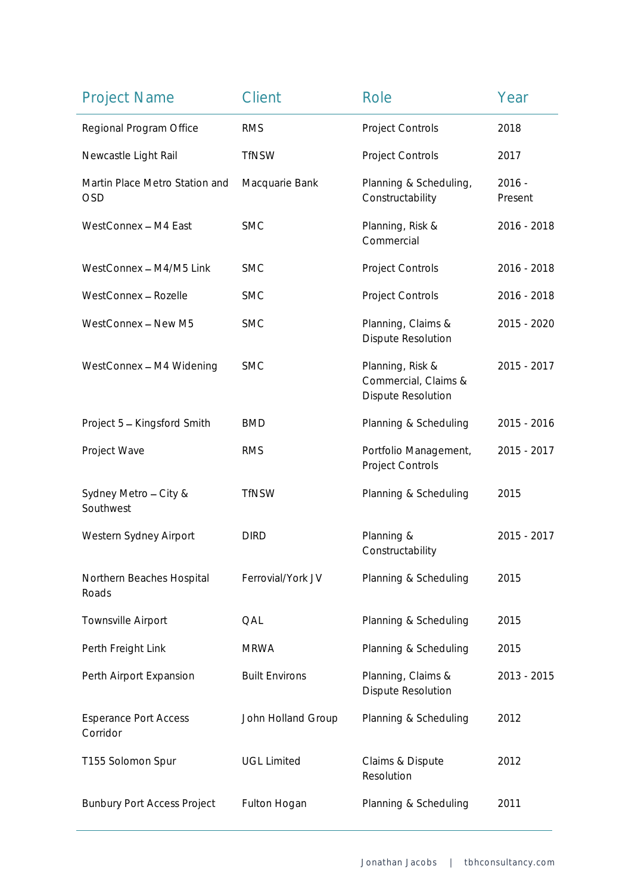| <b>Project Name</b>                          | Client                | Role                                                                  | Year                |
|----------------------------------------------|-----------------------|-----------------------------------------------------------------------|---------------------|
| Regional Program Office                      | <b>RMS</b>            | <b>Project Controls</b>                                               | 2018                |
| Newcastle Light Rail                         | <b>TfNSW</b>          | Project Controls                                                      | 2017                |
| Martin Place Metro Station and<br><b>OSD</b> | Macquarie Bank        | Planning & Scheduling,<br>Constructability                            | $2016 -$<br>Present |
| WestConnex - M4 East                         | <b>SMC</b>            | Planning, Risk &<br>Commercial                                        | 2016 - 2018         |
| WestConnex - M4/M5 Link                      | <b>SMC</b>            | Project Controls                                                      | 2016 - 2018         |
| WestConnex - Rozelle                         | <b>SMC</b>            | Project Controls                                                      | 2016 - 2018         |
| WestConnex - New M5                          | <b>SMC</b>            | Planning, Claims &<br><b>Dispute Resolution</b>                       | 2015 - 2020         |
| WestConnex - M4 Widening                     | <b>SMC</b>            | Planning, Risk &<br>Commercial, Claims &<br><b>Dispute Resolution</b> | 2015 - 2017         |
| Project 5 - Kingsford Smith                  | <b>BMD</b>            | Planning & Scheduling                                                 | 2015 - 2016         |
| Project Wave                                 | <b>RMS</b>            | Portfolio Management,<br>Project Controls                             | 2015 - 2017         |
| Sydney Metro - City &<br>Southwest           | <b>TfNSW</b>          | Planning & Scheduling                                                 | 2015                |
| Western Sydney Airport                       | <b>DIRD</b>           | Planning &<br>Constructability                                        | 2015 - 2017         |
| Northern Beaches Hospital<br>Roads           | Ferrovial/York JV     | Planning & Scheduling                                                 | 2015                |
| Townsville Airport                           | <b>QAL</b>            | Planning & Scheduling                                                 | 2015                |
| Perth Freight Link                           | <b>MRWA</b>           | Planning & Scheduling                                                 | 2015                |
| Perth Airport Expansion                      | <b>Built Environs</b> | Planning, Claims &<br><b>Dispute Resolution</b>                       | 2013 - 2015         |
| <b>Esperance Port Access</b><br>Corridor     | John Holland Group    | Planning & Scheduling                                                 | 2012                |
| T155 Solomon Spur                            | <b>UGL Limited</b>    | Claims & Dispute<br>Resolution                                        | 2012                |
| <b>Bunbury Port Access Project</b>           | Fulton Hogan          | Planning & Scheduling                                                 | 2011                |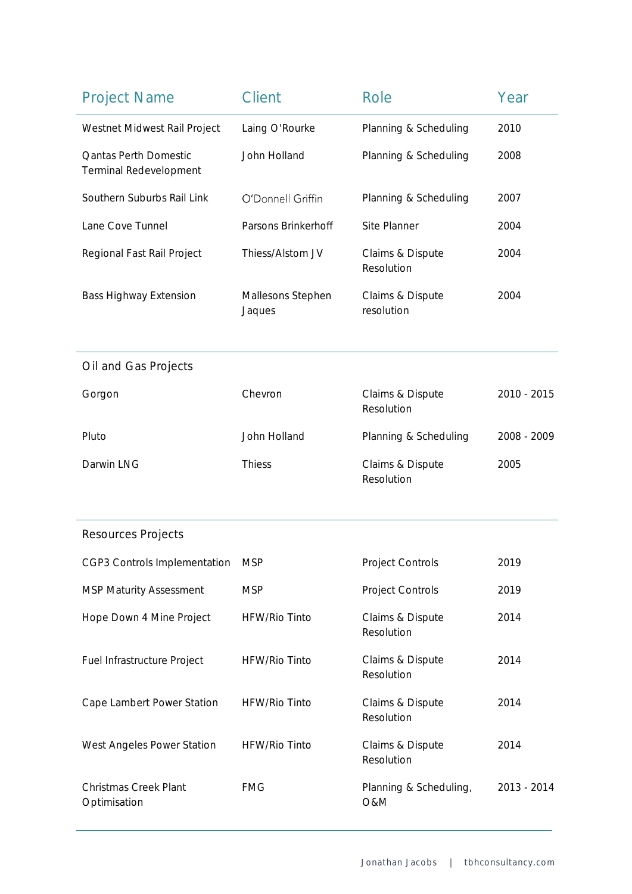| <b>Project Name</b>                                    | Client                      | Role                                     | Year        |
|--------------------------------------------------------|-----------------------------|------------------------------------------|-------------|
| Westnet Midwest Rail Project                           | Laing O'Rourke              | Planning & Scheduling                    | 2010        |
| Qantas Perth Domestic<br><b>Terminal Redevelopment</b> | John Holland                | Planning & Scheduling                    | 2008        |
| Southern Suburbs Rail Link                             | O'Donnell Griffin           | Planning & Scheduling                    | 2007        |
| Lane Cove Tunnel                                       | Parsons Brinkerhoff         | Site Planner                             | 2004        |
| Regional Fast Rail Project                             | Thiess/Alstom JV            | Claims & Dispute<br>Resolution           | 2004        |
| <b>Bass Highway Extension</b>                          | Mallesons Stephen<br>Jaques | Claims & Dispute<br>resolution           | 2004        |
| Oil and Gas Projects                                   |                             |                                          |             |
| Gorgon                                                 | Chevron                     | Claims & Dispute<br>Resolution           | 2010 - 2015 |
| Pluto                                                  | John Holland                | Planning & Scheduling                    | 2008 - 2009 |
| Darwin LNG                                             | <b>Thiess</b>               | Claims & Dispute<br>Resolution           | 2005        |
| Resources Projects                                     |                             |                                          |             |
| CGP3 Controls Implementation MSP                       |                             | Project Controls                         | 2019        |
| <b>MSP Maturity Assessment</b>                         | <b>MSP</b>                  | Project Controls                         | 2019        |
| Hope Down 4 Mine Project                               | HFW/Rio Tinto               | Claims & Dispute<br>Resolution           | 2014        |
| Fuel Infrastructure Project                            | HFW/Rio Tinto               | Claims & Dispute<br>Resolution           | 2014        |
| Cape Lambert Power Station                             | HFW/Rio Tinto               | Claims & Dispute<br>Resolution           | 2014        |
| West Angeles Power Station                             | HFW/Rio Tinto               | Claims & Dispute<br>Resolution           | 2014        |
| Christmas Creek Plant<br>Optimisation                  | <b>FMG</b>                  | Planning & Scheduling,<br><b>O&amp;M</b> | 2013 - 2014 |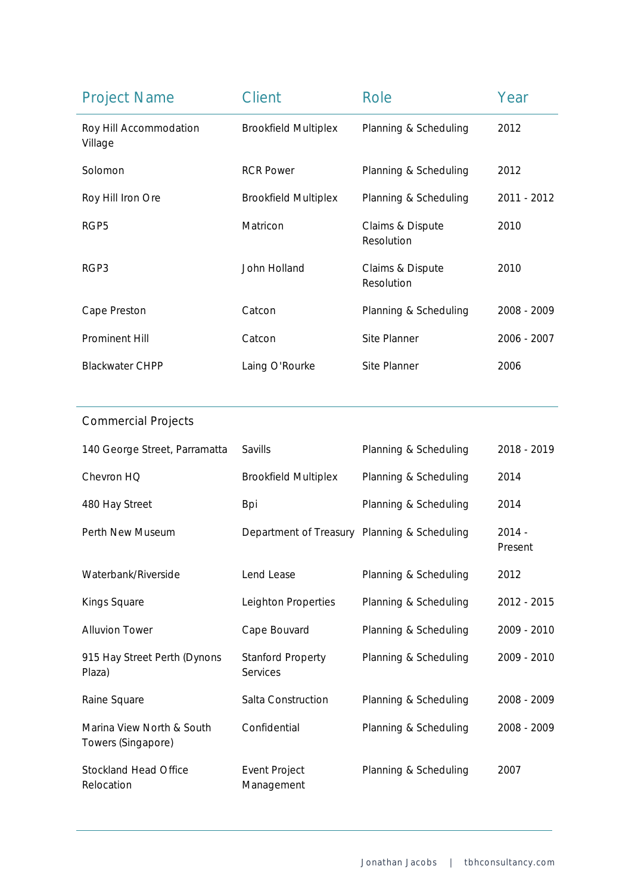| Project Name                                    | Client                                       | Role                           | Year                |
|-------------------------------------------------|----------------------------------------------|--------------------------------|---------------------|
| Roy Hill Accommodation<br>Village               | <b>Brookfield Multiplex</b>                  | Planning & Scheduling          | 2012                |
| Solomon                                         | <b>RCR Power</b>                             | Planning & Scheduling          | 2012                |
| Roy Hill Iron Ore                               | <b>Brookfield Multiplex</b>                  | Planning & Scheduling          | 2011 - 2012         |
| RGP5                                            | Matricon                                     | Claims & Dispute<br>Resolution | 2010                |
| RGP3                                            | John Holland                                 | Claims & Dispute<br>Resolution | 2010                |
| Cape Preston                                    | Catcon                                       | Planning & Scheduling          | 2008 - 2009         |
| Prominent Hill                                  | Catcon                                       | Site Planner                   | 2006 - 2007         |
| <b>Blackwater CHPP</b>                          | Laing O'Rourke                               | Site Planner                   | 2006                |
|                                                 |                                              |                                |                     |
| <b>Commercial Projects</b>                      |                                              |                                |                     |
| 140 George Street, Parramatta                   | Savills                                      | Planning & Scheduling          | 2018 - 2019         |
| Chevron HQ                                      | <b>Brookfield Multiplex</b>                  | Planning & Scheduling          | 2014                |
| 480 Hay Street                                  | <b>Bpi</b>                                   | Planning & Scheduling          | 2014                |
| Perth New Museum                                | Department of Treasury Planning & Scheduling |                                | $2014 -$<br>Present |
| Waterbank/Riverside                             | Lend Lease                                   | Planning & Scheduling          | 2012                |
| Kings Square                                    | Leighton Properties                          | Planning & Scheduling          | 2012 - 2015         |
| <b>Alluvion Tower</b>                           | Cape Bouvard                                 | Planning & Scheduling          | 2009 - 2010         |
| 915 Hay Street Perth (Dynons<br>Plaza)          | Stanford Property<br>Services                | Planning & Scheduling          | 2009 - 2010         |
| Raine Square                                    | Salta Construction                           | Planning & Scheduling          | 2008 - 2009         |
| Marina View North & South<br>Towers (Singapore) | Confidential                                 | Planning & Scheduling          | 2008 - 2009         |
| Stockland Head Office<br>Relocation             | Event Project<br>Management                  | Planning & Scheduling          | 2007                |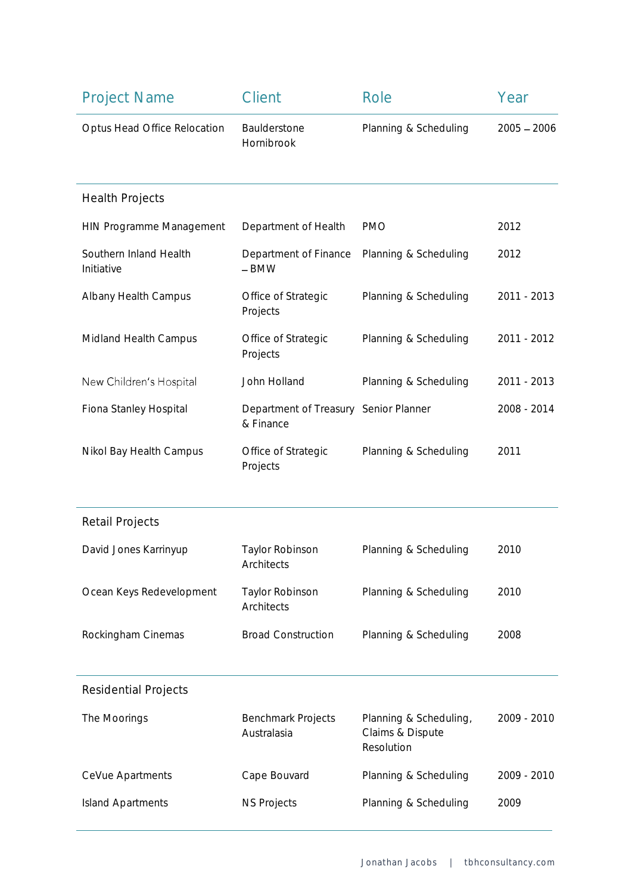| <b>Project Name</b>                  | Client                                             | Role                                                     | Year          |
|--------------------------------------|----------------------------------------------------|----------------------------------------------------------|---------------|
| Optus Head Office Relocation         | Baulderstone<br>Hornibrook                         | Planning & Scheduling                                    | $2005 - 2006$ |
| <b>Health Projects</b>               |                                                    |                                                          |               |
| HIN Programme Management             | Department of Health                               | <b>PMO</b>                                               | 2012          |
| Southern Inland Health<br>Initiative | Department of Finance<br>$-$ BMW                   | Planning & Scheduling                                    | 2012          |
| Albany Health Campus                 | Office of Strategic<br>Projects                    | Planning & Scheduling                                    | 2011 - 2013   |
| Midland Health Campus                | Office of Strategic<br>Projects                    | Planning & Scheduling                                    | 2011 - 2012   |
| New Children's Hospital              | John Holland                                       | Planning & Scheduling                                    | 2011 - 2013   |
| Fiona Stanley Hospital               | Department of Treasury Senior Planner<br>& Finance |                                                          | 2008 - 2014   |
| Nikol Bay Health Campus              | Office of Strategic<br>Projects                    | Planning & Scheduling                                    | 2011          |
| Retail Projects                      |                                                    |                                                          |               |
| David Jones Karrinyup                | <b>Taylor Robinson</b><br>Architects               | Planning & Scheduling                                    | 2010          |
| Ocean Keys Redevelopment             | Taylor Robinson<br>Architects                      | Planning & Scheduling                                    | 2010          |
| Rockingham Cinemas                   | <b>Broad Construction</b>                          | Planning & Scheduling                                    | 2008          |
| Residential Projects                 |                                                    |                                                          |               |
| The Moorings                         | Benchmark Projects<br>Australasia                  | Planning & Scheduling,<br>Claims & Dispute<br>Resolution | 2009 - 2010   |
| CeVue Apartments                     | Cape Bouvard                                       | Planning & Scheduling                                    | 2009 - 2010   |
| <b>Island Apartments</b>             | <b>NS Projects</b>                                 | Planning & Scheduling                                    | 2009          |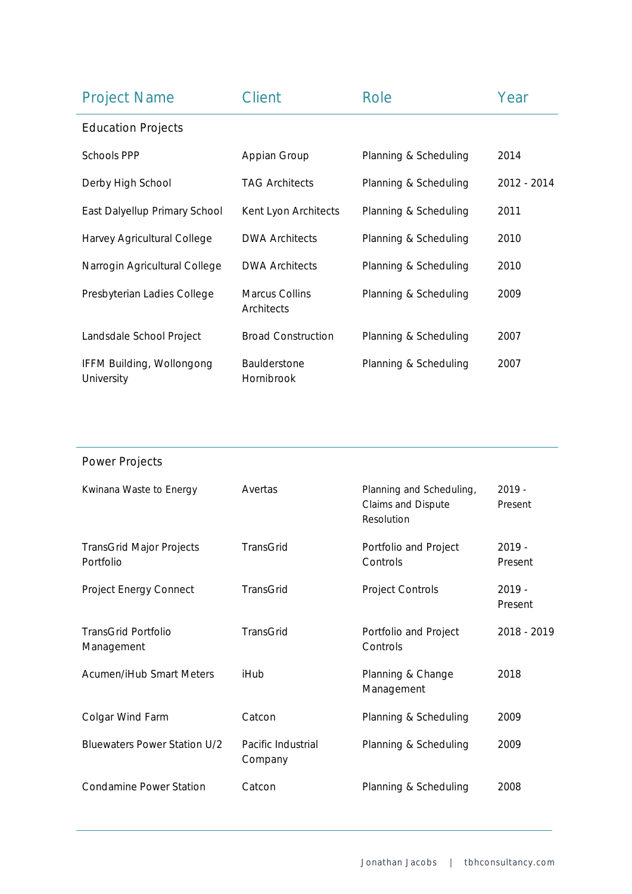| <b>Project Name</b>                     | Client                       | Role                  | Year        |
|-----------------------------------------|------------------------------|-----------------------|-------------|
| <b>Education Projects</b>               |                              |                       |             |
| <b>Schools PPP</b>                      | Appian Group                 | Planning & Scheduling | 2014        |
| Derby High School                       | <b>TAG Architects</b>        | Planning & Scheduling | 2012 - 2014 |
| East Dalyellup Primary School           | Kent Lyon Architects         | Planning & Scheduling | 2011        |
| Harvey Agricultural College             | <b>DWA Architects</b>        | Planning & Scheduling | 2010        |
| Narrogin Agricultural College           | <b>DWA Architects</b>        | Planning & Scheduling | 2010        |
| Presbyterian Ladies College             | Marcus Collins<br>Architects | Planning & Scheduling | 2009        |
| Landsdale School Project                | <b>Broad Construction</b>    | Planning & Scheduling | 2007        |
| IFFM Building, Wollongong<br>University | Baulderstone<br>Hornibrook   | Planning & Scheduling | 2007        |

| Power Projects                               |                               |                                                              |                     |
|----------------------------------------------|-------------------------------|--------------------------------------------------------------|---------------------|
| Kwinana Waste to Energy                      | Avertas                       | Planning and Scheduling,<br>Claims and Dispute<br>Resolution | $2019 -$<br>Present |
| <b>TransGrid Major Projects</b><br>Portfolio | TransGrid                     | Portfolio and Project<br>Controls                            | $2019 -$<br>Present |
| Project Energy Connect                       | TransGrid                     | Project Controls                                             | $2019 -$<br>Present |
| TransGrid Portfolio<br>Management            | TransGrid                     | Portfolio and Project<br>Controls                            | 2018 - 2019         |
| Acumen/iHub Smart Meters                     | iHub                          | Planning & Change<br>Management                              | 2018                |
| Colgar Wind Farm                             | Catcon                        | Planning & Scheduling                                        | 2009                |
| <b>Bluewaters Power Station U/2</b>          | Pacific Industrial<br>Company | Planning & Scheduling                                        | 2009                |
| <b>Condamine Power Station</b>               | Catcon                        | Planning & Scheduling                                        | 2008                |